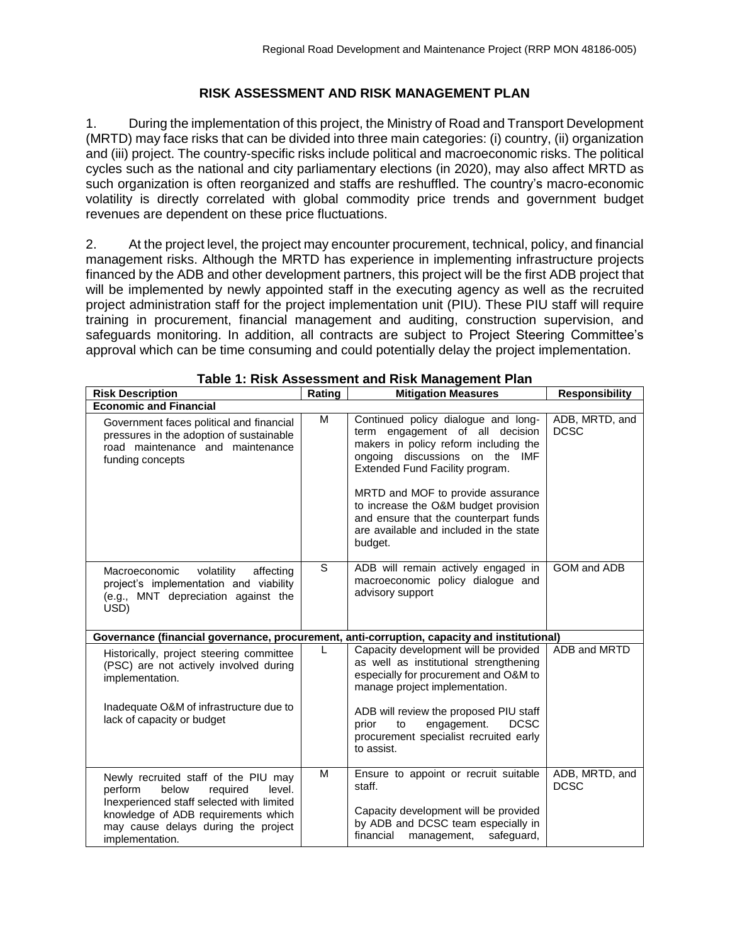## **RISK ASSESSMENT AND RISK MANAGEMENT PLAN**

1. During the implementation of this project, the Ministry of Road and Transport Development (MRTD) may face risks that can be divided into three main categories: (i) country, (ii) organization and (iii) project. The country-specific risks include political and macroeconomic risks. The political cycles such as the national and city parliamentary elections (in 2020), may also affect MRTD as such organization is often reorganized and staffs are reshuffled. The country's macro-economic volatility is directly correlated with global commodity price trends and government budget revenues are dependent on these price fluctuations.

2. At the project level, the project may encounter procurement, technical, policy, and financial management risks. Although the MRTD has experience in implementing infrastructure projects financed by the ADB and other development partners, this project will be the first ADB project that will be implemented by newly appointed staff in the executing agency as well as the recruited project administration staff for the project implementation unit (PIU). These PIU staff will require training in procurement, financial management and auditing, construction supervision, and safeguards monitoring. In addition, all contracts are subject to Project Steering Committee's approval which can be time consuming and could potentially delay the project implementation.

| <b>Risk Description</b>                                                                                                                                                                                                      | Rating | <b>Mitigation Measures</b>                                                                                                                                                                                                                                                                                                                                       | <b>Responsibility</b>         |  |  |  |  |
|------------------------------------------------------------------------------------------------------------------------------------------------------------------------------------------------------------------------------|--------|------------------------------------------------------------------------------------------------------------------------------------------------------------------------------------------------------------------------------------------------------------------------------------------------------------------------------------------------------------------|-------------------------------|--|--|--|--|
| <b>Economic and Financial</b>                                                                                                                                                                                                |        |                                                                                                                                                                                                                                                                                                                                                                  |                               |  |  |  |  |
| Government faces political and financial<br>pressures in the adoption of sustainable<br>road maintenance and maintenance<br>funding concepts                                                                                 | M      | Continued policy dialogue and long-<br>term engagement of all decision<br>makers in policy reform including the<br>ongoing discussions on the IMF<br>Extended Fund Facility program.<br>MRTD and MOF to provide assurance<br>to increase the O&M budget provision<br>and ensure that the counterpart funds<br>are available and included in the state<br>budget. | ADB, MRTD, and<br><b>DCSC</b> |  |  |  |  |
| Macroeconomic<br>volatility<br>affecting<br>project's implementation and viability<br>(e.g., MNT depreciation against the<br>USD)                                                                                            | S.     | ADB will remain actively engaged in<br>macroeconomic policy dialogue and<br>advisory support                                                                                                                                                                                                                                                                     | GOM and ADB                   |  |  |  |  |
| Governance (financial governance, procurement, anti-corruption, capacity and institutional)                                                                                                                                  |        |                                                                                                                                                                                                                                                                                                                                                                  |                               |  |  |  |  |
| Historically, project steering committee<br>(PSC) are not actively involved during<br>implementation.<br>Inadequate O&M of infrastructure due to<br>lack of capacity or budget                                               | L      | Capacity development will be provided<br>as well as institutional strengthening<br>especially for procurement and O&M to<br>manage project implementation.<br>ADB will review the proposed PIU staff<br><b>DCSC</b><br>prior<br>engagement.<br>to<br>procurement specialist recruited early                                                                      | ADB and MRTD                  |  |  |  |  |
|                                                                                                                                                                                                                              |        | to assist.                                                                                                                                                                                                                                                                                                                                                       |                               |  |  |  |  |
| Newly recruited staff of the PIU may<br>perform<br>below<br>required<br>level.<br>Inexperienced staff selected with limited<br>knowledge of ADB requirements which<br>may cause delays during the project<br>implementation. | м      | Ensure to appoint or recruit suitable<br>staff.<br>Capacity development will be provided<br>by ADB and DCSC team especially in<br>financial<br>safeguard,<br>management,                                                                                                                                                                                         | ADB, MRTD, and<br><b>DCSC</b> |  |  |  |  |

| Table 1: Risk Assessment and Risk Management Plan |  |  |  |
|---------------------------------------------------|--|--|--|
|                                                   |  |  |  |